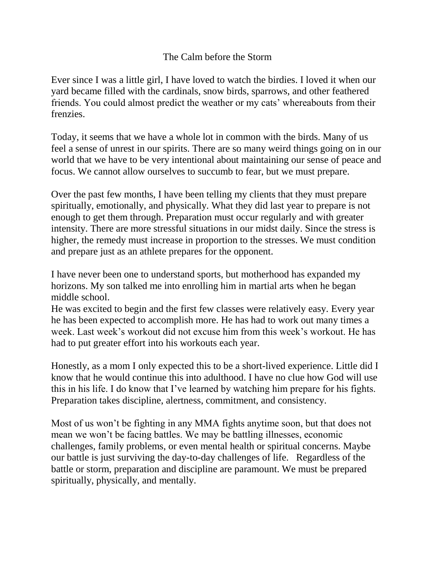## The Calm before the Storm

Ever since I was a little girl, I have loved to watch the birdies. I loved it when our yard became filled with the cardinals, snow birds, sparrows, and other feathered friends. You could almost predict the weather or my cats' whereabouts from their frenzies.

Today, it seems that we have a whole lot in common with the birds. Many of us feel a sense of unrest in our spirits. There are so many weird things going on in our world that we have to be very intentional about maintaining our sense of peace and focus. We cannot allow ourselves to succumb to fear, but we must prepare.

Over the past few months, I have been telling my clients that they must prepare spiritually, emotionally, and physically. What they did last year to prepare is not enough to get them through. Preparation must occur regularly and with greater intensity. There are more stressful situations in our midst daily. Since the stress is higher, the remedy must increase in proportion to the stresses. We must condition and prepare just as an athlete prepares for the opponent.

I have never been one to understand sports, but motherhood has expanded my horizons. My son talked me into enrolling him in martial arts when he began middle school.

He was excited to begin and the first few classes were relatively easy. Every year he has been expected to accomplish more. He has had to work out many times a week. Last week's workout did not excuse him from this week's workout. He has had to put greater effort into his workouts each year.

Honestly, as a mom I only expected this to be a short-lived experience. Little did I know that he would continue this into adulthood. I have no clue how God will use this in his life. I do know that I've learned by watching him prepare for his fights. Preparation takes discipline, alertness, commitment, and consistency.

Most of us won't be fighting in any MMA fights anytime soon, but that does not mean we won't be facing battles. We may be battling illnesses, economic challenges, family problems, or even mental health or spiritual concerns. Maybe our battle is just surviving the day-to-day challenges of life. Regardless of the battle or storm, preparation and discipline are paramount. We must be prepared spiritually, physically, and mentally.